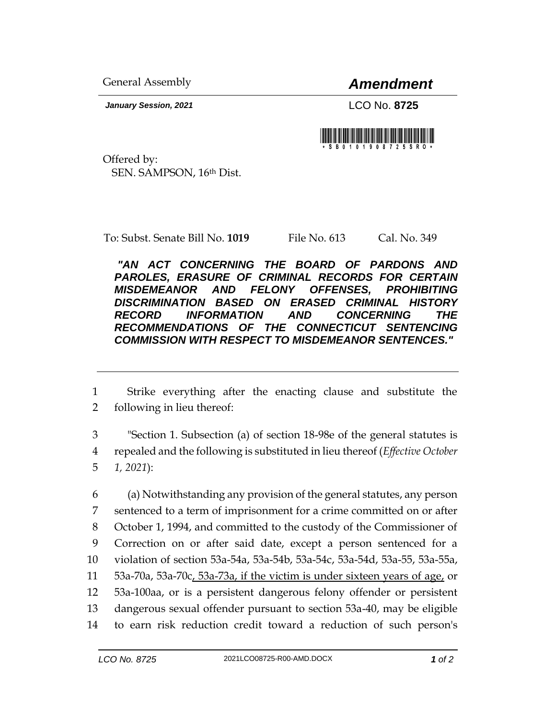General Assembly *Amendment*

*January Session, 2021* LCO No. **8725**



Offered by: SEN. SAMPSON, 16th Dist.

To: Subst. Senate Bill No. **1019** File No. 613 Cal. No. 349

*"AN ACT CONCERNING THE BOARD OF PARDONS AND PAROLES, ERASURE OF CRIMINAL RECORDS FOR CERTAIN MISDEMEANOR AND FELONY OFFENSES, PROHIBITING DISCRIMINATION BASED ON ERASED CRIMINAL HISTORY RECORD INFORMATION AND CONCERNING THE RECOMMENDATIONS OF THE CONNECTICUT SENTENCING COMMISSION WITH RESPECT TO MISDEMEANOR SENTENCES."* 

1 Strike everything after the enacting clause and substitute the 2 following in lieu thereof:

3 "Section 1. Subsection (a) of section 18-98e of the general statutes is 4 repealed and the following is substituted in lieu thereof (*Effective October*  5 *1, 2021*):

 (a) Notwithstanding any provision of the general statutes, any person sentenced to a term of imprisonment for a crime committed on or after October 1, 1994, and committed to the custody of the Commissioner of Correction on or after said date, except a person sentenced for a violation of section 53a-54a, 53a-54b, 53a-54c, 53a-54d, 53a-55, 53a-55a, 53a-70a, 53a-70c, 53a-73a, if the victim is under sixteen years of age, or 53a-100aa, or is a persistent dangerous felony offender or persistent dangerous sexual offender pursuant to section 53a-40, may be eligible to earn risk reduction credit toward a reduction of such person's